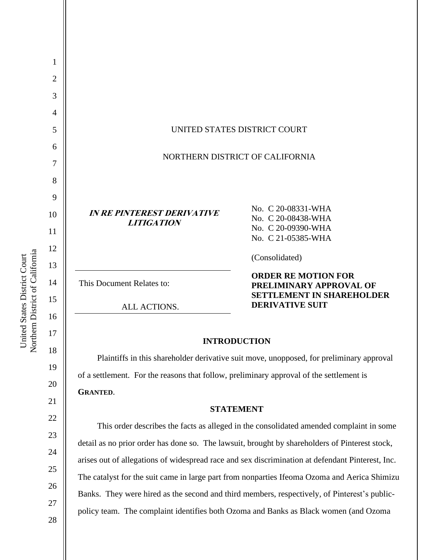| 1              |                                                                                                |                                                                                                  |
|----------------|------------------------------------------------------------------------------------------------|--------------------------------------------------------------------------------------------------|
| $\overline{2}$ |                                                                                                |                                                                                                  |
| 3              |                                                                                                |                                                                                                  |
| 4              |                                                                                                |                                                                                                  |
| 5              |                                                                                                | UNITED STATES DISTRICT COURT                                                                     |
| 6              | NORTHERN DISTRICT OF CALIFORNIA                                                                |                                                                                                  |
| 7              |                                                                                                |                                                                                                  |
| 8              |                                                                                                |                                                                                                  |
| 9              |                                                                                                | No. C 20-08331-WHA                                                                               |
| 10             | <b>IN RE PINTEREST DERIVATIVE</b><br><b>LITIGATION</b>                                         | No. C 20-08438-WHA<br>No. C 20-09390-WHA                                                         |
| 11             |                                                                                                | No. C 21-05385-WHA                                                                               |
| 12             |                                                                                                | (Consolidated)                                                                                   |
| 13<br>14       | This Document Relates to:                                                                      | <b>ORDER RE MOTION FOR</b><br>PRELIMINARY APPROVAL OF<br><b>SETTLEMENT IN SHAREHOLDER</b>        |
| 15             | ALL ACTIONS.                                                                                   | <b>DERIVATIVE SUIT</b>                                                                           |
| 16             |                                                                                                |                                                                                                  |
| 17             |                                                                                                | <b>INTRODUCTION</b>                                                                              |
| 18             | Plaintiffs in this shareholder derivative suit move, unopposed, for preliminary approval       |                                                                                                  |
| 19<br>20       | of a settlement. For the reasons that follow, preliminary approval of the settlement is        |                                                                                                  |
| 21             | <b>GRANTED.</b>                                                                                |                                                                                                  |
| 22             | <b>STATEMENT</b>                                                                               |                                                                                                  |
| 23             | This order describes the facts as alleged in the consolidated amended complaint in some        |                                                                                                  |
| 24             | detail as no prior order has done so. The lawsuit, brought by shareholders of Pinterest stock, |                                                                                                  |
| 25             |                                                                                                | arises out of allegations of widespread race and sex discrimination at defendant Pinterest, Inc. |
| 26             | The catalyst for the suit came in large part from nonparties Ifeoma Ozoma and Aerica Shimizu   |                                                                                                  |
| 27             | Banks. They were hired as the second and third members, respectively, of Pinterest's public-   |                                                                                                  |
| 28             |                                                                                                | policy team. The complaint identifies both Ozoma and Banks as Black women (and Ozoma             |

United States District Court<br>Northern District of California Northern District of California United States District Court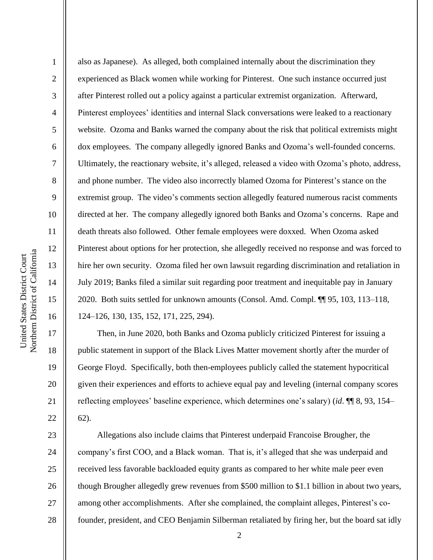2

3

4

5

6

7

8

9

10

11

12

13

14

15

16

17

18

19

20

21

22

also as Japanese). As alleged, both complained internally about the discrimination they experienced as Black women while working for Pinterest. One such instance occurred just after Pinterest rolled out a policy against a particular extremist organization. Afterward, Pinterest employees' identities and internal Slack conversations were leaked to a reactionary website. Ozoma and Banks warned the company about the risk that political extremists might dox employees. The company allegedly ignored Banks and Ozoma's well-founded concerns. Ultimately, the reactionary website, it's alleged, released a video with Ozoma's photo, address, and phone number. The video also incorrectly blamed Ozoma for Pinterest's stance on the extremist group. The video's comments section allegedly featured numerous racist comments directed at her. The company allegedly ignored both Banks and Ozoma's concerns. Rape and death threats also followed. Other female employees were doxxed. When Ozoma asked Pinterest about options for her protection, she allegedly received no response and was forced to hire her own security. Ozoma filed her own lawsuit regarding discrimination and retaliation in July 2019; Banks filed a similar suit regarding poor treatment and inequitable pay in January 2020. Both suits settled for unknown amounts (Consol. Amd. Compl. ¶¶ 95, 103, 113–118, 124–126, 130, 135, 152, 171, 225, 294).

Then, in June 2020, both Banks and Ozoma publicly criticized Pinterest for issuing a public statement in support of the Black Lives Matter movement shortly after the murder of George Floyd. Specifically, both then-employees publicly called the statement hypocritical given their experiences and efforts to achieve equal pay and leveling (internal company scores reflecting employees' baseline experience, which determines one's salary) (*id*. ¶¶ 8, 93, 154– 62).

23 24 25 26 27 28 Allegations also include claims that Pinterest underpaid Francoise Brougher, the company's first COO, and a Black woman. That is, it's alleged that she was underpaid and received less favorable backloaded equity grants as compared to her white male peer even though Brougher allegedly grew revenues from \$500 million to \$1.1 billion in about two years, among other accomplishments. After she complained, the complaint alleges, Pinterest's cofounder, president, and CEO Benjamin Silberman retaliated by firing her, but the board sat idly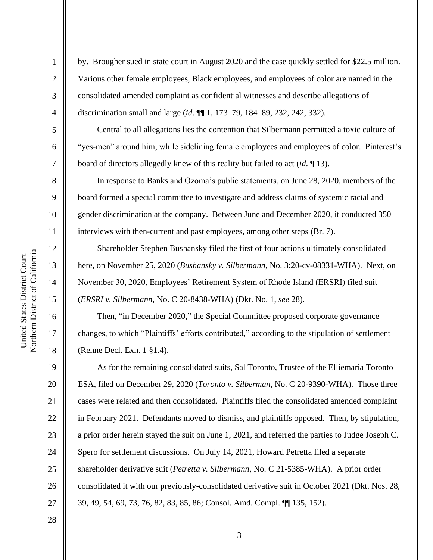2

3

4

5

6

7

8

9

10

11

12

13

14

15

16

17

18

19

20

21

22

23

24

25

26

27

by. Brougher sued in state court in August 2020 and the case quickly settled for \$22.5 million. Various other female employees, Black employees, and employees of color are named in the consolidated amended complaint as confidential witnesses and describe allegations of discrimination small and large (*id*. ¶¶ 1, 173–79, 184–89, 232, 242, 332).

Central to all allegations lies the contention that Silbermann permitted a toxic culture of "yes-men" around him, while sidelining female employees and employees of color. Pinterest's board of directors allegedly knew of this reality but failed to act (*id*. ¶ 13).

In response to Banks and Ozoma's public statements, on June 28, 2020, members of the board formed a special committee to investigate and address claims of systemic racial and gender discrimination at the company. Between June and December 2020, it conducted 350 interviews with then-current and past employees, among other steps (Br. 7).

Shareholder Stephen Bushansky filed the first of four actions ultimately consolidated here, on November 25, 2020 (*Bushansky v. Silbermann*, No. 3:20-cv-08331-WHA). Next, on November 30, 2020, Employees' Retirement System of Rhode Island (ERSRI) filed suit (*ERSRI v. Silbermann*, No. C 20-8438-WHA) (Dkt. No. 1, *see* 28).

Then, "in December 2020," the Special Committee proposed corporate governance changes, to which "Plaintiffs' efforts contributed," according to the stipulation of settlement (Renne Decl. Exh. 1 §1.4).

As for the remaining consolidated suits, Sal Toronto, Trustee of the Elliemaria Toronto ESA, filed on December 29, 2020 (*Toronto v. Silberman*, No. C 20-9390-WHA). Those three cases were related and then consolidated. Plaintiffs filed the consolidated amended complaint in February 2021. Defendants moved to dismiss, and plaintiffs opposed. Then, by stipulation, a prior order herein stayed the suit on June 1, 2021, and referred the parties to Judge Joseph C. Spero for settlement discussions. On July 14, 2021, Howard Petretta filed a separate shareholder derivative suit (*Petretta v. Silbermann*, No. C 21-5385-WHA). A prior order consolidated it with our previously-consolidated derivative suit in October 2021 (Dkt. Nos. 28, 39, 49, 54, 69, 73, 76, 82, 83, 85, 86; Consol. Amd. Compl. ¶¶ 135, 152).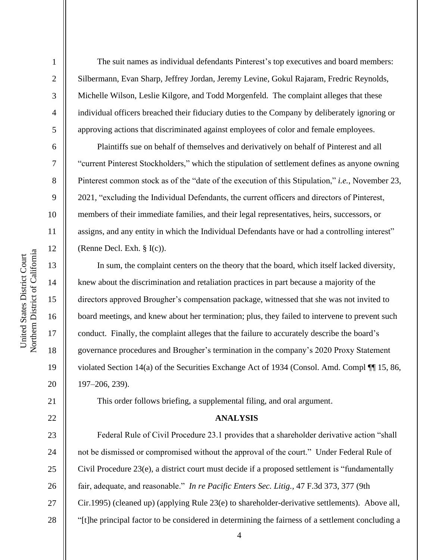2

3

4

5

6

7

8

9

10

11

12

13

14

15

16

17

18

19

20

21

22

The suit names as individual defendants Pinterest's top executives and board members: Silbermann, Evan Sharp, Jeffrey Jordan, Jeremy Levine, Gokul Rajaram, Fredric Reynolds, Michelle Wilson, Leslie Kilgore, and Todd Morgenfeld. The complaint alleges that these individual officers breached their fiduciary duties to the Company by deliberately ignoring or approving actions that discriminated against employees of color and female employees.

Plaintiffs sue on behalf of themselves and derivatively on behalf of Pinterest and all "current Pinterest Stockholders," which the stipulation of settlement defines as anyone owning Pinterest common stock as of the "date of the execution of this Stipulation," *i.e.*, November 23, 2021, "excluding the Individual Defendants, the current officers and directors of Pinterest, members of their immediate families, and their legal representatives, heirs, successors, or assigns, and any entity in which the Individual Defendants have or had a controlling interest" (Renne Decl. Exh. § I(c)).

In sum, the complaint centers on the theory that the board, which itself lacked diversity, knew about the discrimination and retaliation practices in part because a majority of the directors approved Brougher's compensation package, witnessed that she was not invited to board meetings, and knew about her termination; plus, they failed to intervene to prevent such conduct. Finally, the complaint alleges that the failure to accurately describe the board's governance procedures and Brougher's termination in the company's 2020 Proxy Statement violated Section 14(a) of the Securities Exchange Act of 1934 (Consol. Amd. Compl ¶¶ 15, 86, 197–206, 239).

This order follows briefing, a supplemental filing, and oral argument.

## **ANALYSIS**

23 24 25 26 27 28 Federal Rule of Civil Procedure 23.1 provides that a shareholder derivative action "shall not be dismissed or compromised without the approval of the court." Under Federal Rule of Civil Procedure 23(e), a district court must decide if a proposed settlement is "fundamentally fair, adequate, and reasonable." *In re Pacific Enters Sec. Litig.,* 47 F.3d 373, 377 (9th Cir.1995) (cleaned up) (applying Rule 23(e) to shareholder-derivative settlements). Above all, "[t]he principal factor to be considered in determining the fairness of a settlement concluding a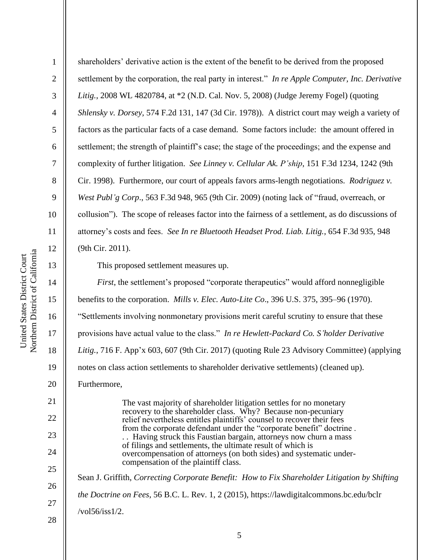2

3

4

5

6

7

8

9

10

11

12

13

14

15

16

17

18

19

20

21

22

23

24

25

26

27

shareholders' derivative action is the extent of the benefit to be derived from the proposed settlement by the corporation, the real party in interest." *In re Apple Computer, Inc. Derivative Litig.*, 2008 WL 4820784, at \*2 (N.D. Cal. Nov. 5, 2008) (Judge Jeremy Fogel) (quoting *Shlensky v. Dorsey,* 574 F.2d 131, 147 (3d Cir. 1978)). A district court may weigh a variety of factors as the particular facts of a case demand. Some factors include: the amount offered in settlement; the strength of plaintiff's case; the stage of the proceedings; and the expense and complexity of further litigation. *See Linney v. Cellular Ak. P'ship*, 151 F.3d 1234, 1242 (9th Cir. 1998). Furthermore, our court of appeals favors arms-length negotiations. *Rodriguez v. West Publ'g Corp*., 563 F.3d 948, 965 (9th Cir. 2009) (noting lack of "fraud, overreach, or collusion"). The scope of releases factor into the fairness of a settlement, as do discussions of attorney's costs and fees. *See In re Bluetooth Headset Prod. Liab. Litig.*, 654 F.3d 935, 948 (9th Cir. 2011).

This proposed settlement measures up.

*First*, the settlement's proposed "corporate therapeutics" would afford nonnegligible benefits to the corporation. *Mills v. Elec. Auto-Lite Co*., 396 U.S. 375, 395–96 (1970). "Settlements involving nonmonetary provisions merit careful scrutiny to ensure that these provisions have actual value to the class." *In re Hewlett-Packard Co. S'holder Derivative* Litig., 716 F. App'x 603, 607 (9th Cir. 2017) (quoting Rule 23 Advisory Committee) (applying notes on class action settlements to shareholder derivative settlements) (cleaned up). Furthermore, The vast majority of shareholder litigation settles for no monetary recovery to the shareholder class. Why? Because non-pecuniary relief nevertheless entitles plaintiffs' counsel to recover their fees from the corporate defendant under the "corporate benefit" doctrine . . . Having struck this Faustian bargain, attorneys now churn a mass of filings and settlements, the ultimate result of which is overcompensation of attorneys (on both sides) and systematic undercompensation of the plaintiff class. Sean J. Griffith, *Correcting Corporate Benefit: How to Fix Shareholder Litigation by Shifting the Doctrine on Fees*, 56 B.C. L. Rev. 1, 2 (2015), https://lawdigitalcommons.bc.edu/bclr

28

/vol56/iss1/2.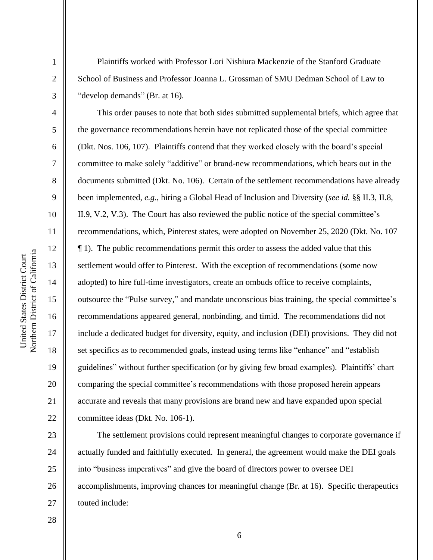2

3

4

5

6

7

8

9

10

11

12

13

14

15

16

17

18

19

20

21

22

23

24

25

26

27

Plaintiffs worked with Professor Lori Nishiura Mackenzie of the Stanford Graduate School of Business and Professor Joanna L. Grossman of SMU Dedman School of Law to "develop demands" (Br. at 16).

This order pauses to note that both sides submitted supplemental briefs, which agree that the governance recommendations herein have not replicated those of the special committee (Dkt. Nos. 106, 107). Plaintiffs contend that they worked closely with the board's special committee to make solely "additive" or brand-new recommendations, which bears out in the documents submitted (Dkt. No. 106). Certain of the settlement recommendations have already been implemented, *e.g.*, hiring a Global Head of Inclusion and Diversity (*see id.* §§ II.3, II.8, II.9, V.2, V.3). The Court has also reviewed the public notice of the special committee's recommendations, which, Pinterest states, were adopted on November 25, 2020 (Dkt. No. 107 ¶ 1). The public recommendations permit this order to assess the added value that this settlement would offer to Pinterest. With the exception of recommendations (some now adopted) to hire full-time investigators, create an ombuds office to receive complaints, outsource the "Pulse survey," and mandate unconscious bias training, the special committee's recommendations appeared general, nonbinding, and timid. The recommendations did not include a dedicated budget for diversity, equity, and inclusion (DEI) provisions. They did not set specifics as to recommended goals, instead using terms like "enhance" and "establish guidelines" without further specification (or by giving few broad examples). Plaintiffs' chart comparing the special committee's recommendations with those proposed herein appears accurate and reveals that many provisions are brand new and have expanded upon special committee ideas (Dkt. No. 106-1).

The settlement provisions could represent meaningful changes to corporate governance if actually funded and faithfully executed. In general, the agreement would make the DEI goals into "business imperatives" and give the board of directors power to oversee DEI accomplishments, improving chances for meaningful change (Br. at 16). Specific therapeutics touted include: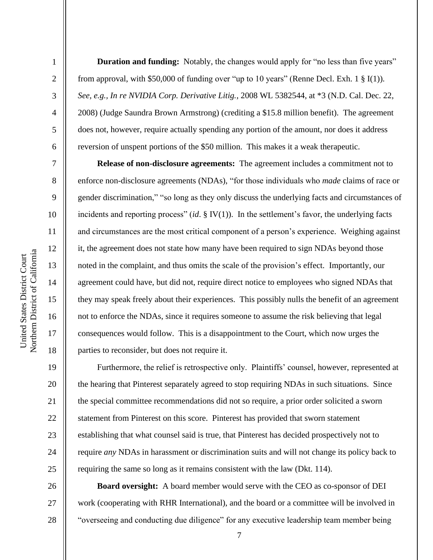2

3

4

5

6

7

8

9

10

11

12

13

14

15

16

17

18

19

20

21

22

23

24

25

26

27

28

**Duration and funding:** Notably, the changes would apply for "no less than five years" from approval, with \$50,000 of funding over "up to 10 years" (Renne Decl. Exh. 1  $\S$  I(1)). *See, e.g., In re NVIDIA Corp. Derivative Litig.*, 2008 WL 5382544, at \*3 (N.D. Cal. Dec. 22, 2008) (Judge Saundra Brown Armstrong) (crediting a \$15.8 million benefit). The agreement does not, however, require actually spending any portion of the amount, nor does it address reversion of unspent portions of the \$50 million. This makes it a weak therapeutic.

**Release of non-disclosure agreements:** The agreement includes a commitment not to enforce non-disclosure agreements (NDAs), "for those individuals who *made* claims of race or gender discrimination," "so long as they only discuss the underlying facts and circumstances of incidents and reporting process" (*id*. § IV(1)). In the settlement's favor, the underlying facts and circumstances are the most critical component of a person's experience. Weighing against it, the agreement does not state how many have been required to sign NDAs beyond those noted in the complaint, and thus omits the scale of the provision's effect. Importantly, our agreement could have, but did not, require direct notice to employees who signed NDAs that they may speak freely about their experiences. This possibly nulls the benefit of an agreement not to enforce the NDAs, since it requires someone to assume the risk believing that legal consequences would follow. This is a disappointment to the Court, which now urges the parties to reconsider, but does not require it.

Furthermore, the relief is retrospective only. Plaintiffs' counsel, however, represented at the hearing that Pinterest separately agreed to stop requiring NDAs in such situations. Since the special committee recommendations did not so require, a prior order solicited a sworn statement from Pinterest on this score. Pinterest has provided that sworn statement establishing that what counsel said is true, that Pinterest has decided prospectively not to require *any* NDAs in harassment or discrimination suits and will not change its policy back to requiring the same so long as it remains consistent with the law (Dkt. 114).

**Board oversight:** A board member would serve with the CEO as co-sponsor of DEI work (cooperating with RHR International), and the board or a committee will be involved in "overseeing and conducting due diligence" for any executive leadership team member being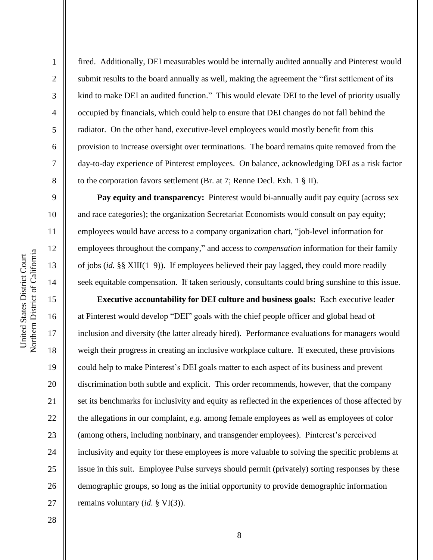2

3

4

5

6

7

8

9

10

11

12

13

14

15

16

17

18

19

20

21

22

23

24

25

26

27

fired. Additionally, DEI measurables would be internally audited annually and Pinterest would submit results to the board annually as well, making the agreement the "first settlement of its kind to make DEI an audited function." This would elevate DEI to the level of priority usually occupied by financials, which could help to ensure that DEI changes do not fall behind the radiator. On the other hand, executive-level employees would mostly benefit from this provision to increase oversight over terminations. The board remains quite removed from the day-to-day experience of Pinterest employees. On balance, acknowledging DEI as a risk factor to the corporation favors settlement (Br. at 7; Renne Decl. Exh. 1 § II).

**Pay equity and transparency:** Pinterest would bi-annually audit pay equity (across sex and race categories); the organization Secretariat Economists would consult on pay equity; employees would have access to a company organization chart, "job-level information for employees throughout the company," and access to *compensation* information for their family of jobs (*id.* §§ XIII(1–9)). If employees believed their pay lagged, they could more readily seek equitable compensation. If taken seriously, consultants could bring sunshine to this issue.

**Executive accountability for DEI culture and business goals:** Each executive leader at Pinterest would develop "DEI" goals with the chief people officer and global head of inclusion and diversity (the latter already hired). Performance evaluations for managers would weigh their progress in creating an inclusive workplace culture. If executed, these provisions could help to make Pinterest's DEI goals matter to each aspect of its business and prevent discrimination both subtle and explicit. This order recommends, however, that the company set its benchmarks for inclusivity and equity as reflected in the experiences of those affected by the allegations in our complaint, *e.g.* among female employees as well as employees of color (among others, including nonbinary, and transgender employees). Pinterest's perceived inclusivity and equity for these employees is more valuable to solving the specific problems at issue in this suit. Employee Pulse surveys should permit (privately) sorting responses by these demographic groups, so long as the initial opportunity to provide demographic information remains voluntary (*id*. § VI(3)).

28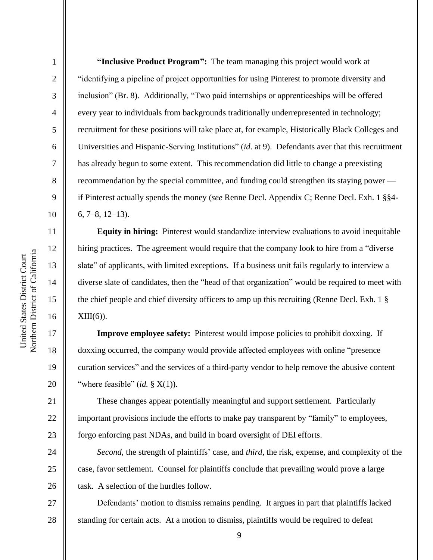2

3

4

5

6

7

8

9

10

11

12

13

14

15

16

17

18

19

20

21

22

23

24

25

26

**"Inclusive Product Program":** The team managing this project would work at "identifying a pipeline of project opportunities for using Pinterest to promote diversity and inclusion" (Br. 8). Additionally, "Two paid internships or apprenticeships will be offered every year to individuals from backgrounds traditionally underrepresented in technology; recruitment for these positions will take place at, for example, Historically Black Colleges and Universities and Hispanic-Serving Institutions" (*id*. at 9). Defendants aver that this recruitment has already begun to some extent. This recommendation did little to change a preexisting recommendation by the special committee, and funding could strengthen its staying power if Pinterest actually spends the money (*see* Renne Decl. Appendix C; Renne Decl. Exh. 1 §§4- 6, 7–8, 12–13).

**Equity in hiring:** Pinterest would standardize interview evaluations to avoid inequitable hiring practices. The agreement would require that the company look to hire from a "diverse slate" of applicants, with limited exceptions. If a business unit fails regularly to interview a diverse slate of candidates, then the "head of that organization" would be required to meet with the chief people and chief diversity officers to amp up this recruiting (Renne Decl. Exh. 1 §  $XIII(6)$ ).

**Improve employee safety:** Pinterest would impose policies to prohibit doxxing. If doxxing occurred, the company would provide affected employees with online "presence curation services" and the services of a third-party vendor to help remove the abusive content "where feasible" (*id.* § X(1)).

These changes appear potentially meaningful and support settlement. Particularly important provisions include the efforts to make pay transparent by "family" to employees, forgo enforcing past NDAs, and build in board oversight of DEI efforts.

*Second*, the strength of plaintiffs' case, and *third*, the risk, expense, and complexity of the case, favor settlement. Counsel for plaintiffs conclude that prevailing would prove a large task. A selection of the hurdles follow.

27 28 Defendants' motion to dismiss remains pending. It argues in part that plaintiffs lacked standing for certain acts. At a motion to dismiss, plaintiffs would be required to defeat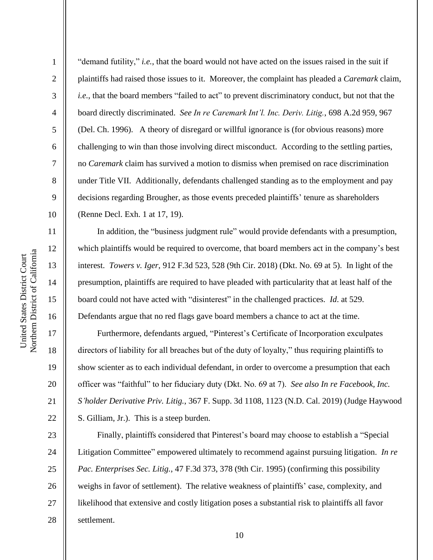2

3

4

5

6

7

8

9

10

11

12

13

14

15

16

17

18

19

20

21

22

23

24

25

26

27

28

"demand futility," *i.e.*, that the board would not have acted on the issues raised in the suit if plaintiffs had raised those issues to it. Moreover, the complaint has pleaded a *Caremark* claim, *i.e.*, that the board members "failed to act" to prevent discriminatory conduct, but not that the board directly discriminated. *See In re Caremark Int'l. Inc. Deriv. Litig.*, 698 A.2d 959, 967 (Del. Ch. 1996). A theory of disregard or willful ignorance is (for obvious reasons) more challenging to win than those involving direct misconduct. According to the settling parties, no *Caremark* claim has survived a motion to dismiss when premised on race discrimination under Title VII. Additionally, defendants challenged standing as to the employment and pay decisions regarding Brougher, as those events preceded plaintiffs' tenure as shareholders (Renne Decl. Exh. 1 at 17, 19).

In addition, the "business judgment rule" would provide defendants with a presumption, which plaintiffs would be required to overcome, that board members act in the company's best interest. *Towers v. Iger*, 912 F.3d 523, 528 (9th Cir. 2018) (Dkt. No. 69 at 5). In light of the presumption, plaintiffs are required to have pleaded with particularity that at least half of the board could not have acted with "disinterest" in the challenged practices. *Id*. at 529. Defendants argue that no red flags gave board members a chance to act at the time.

Furthermore, defendants argued, "Pinterest's Certificate of Incorporation exculpates directors of liability for all breaches but of the duty of loyalty," thus requiring plaintiffs to show scienter as to each individual defendant, in order to overcome a presumption that each officer was "faithful" to her fiduciary duty (Dkt. No. 69 at 7). *See also In re Facebook, Inc. S'holder Derivative Priv. Litig.*, 367 F. Supp. 3d 1108, 1123 (N.D. Cal. 2019) (Judge Haywood S. Gilliam, Jr.). This is a steep burden.

Finally, plaintiffs considered that Pinterest's board may choose to establish a "Special Litigation Committee" empowered ultimately to recommend against pursuing litigation. *In re Pac. Enterprises Sec. Litig.*, 47 F.3d 373, 378 (9th Cir. 1995) (confirming this possibility weighs in favor of settlement). The relative weakness of plaintiffs' case, complexity, and likelihood that extensive and costly litigation poses a substantial risk to plaintiffs all favor settlement.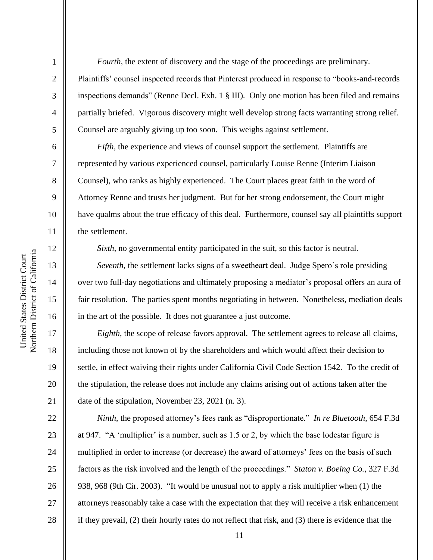2

3

4

5

6

7

8

9

19

20

21

22

23

24

25

26

27

28

*Fourth*, the extent of discovery and the stage of the proceedings are preliminary. Plaintiffs' counsel inspected records that Pinterest produced in response to "books-and-records inspections demands" (Renne Decl. Exh. 1 § III). Only one motion has been filed and remains partially briefed. Vigorous discovery might well develop strong facts warranting strong relief. Counsel are arguably giving up too soon. This weighs against settlement.

*Fifth*, the experience and views of counsel support the settlement. Plaintiffs are represented by various experienced counsel, particularly Louise Renne (Interim Liaison Counsel), who ranks as highly experienced. The Court places great faith in the word of Attorney Renne and trusts her judgment. But for her strong endorsement, the Court might have qualms about the true efficacy of this deal. Furthermore, counsel say all plaintiffs support the settlement.

*Sixth*, no governmental entity participated in the suit, so this factor is neutral.

*Seventh*, the settlement lacks signs of a sweetheart deal. Judge Spero's role presiding over two full-day negotiations and ultimately proposing a mediator's proposal offers an aura of fair resolution. The parties spent months negotiating in between. Nonetheless, mediation deals in the art of the possible. It does not guarantee a just outcome.

*Eighth*, the scope of release favors approval. The settlement agrees to release all claims, including those not known of by the shareholders and which would affect their decision to settle, in effect waiving their rights under California Civil Code Section 1542. To the credit of the stipulation, the release does not include any claims arising out of actions taken after the date of the stipulation, November 23, 2021 (n. 3).

*Ninth*, the proposed attorney's fees rank as "disproportionate." *In re Bluetooth*, 654 F.3d at 947. "A 'multiplier' is a number, such as 1.5 or 2, by which the base lodestar figure is multiplied in order to increase (or decrease) the award of attorneys' fees on the basis of such factors as the risk involved and the length of the proceedings." *Staton v. Boeing Co.,* 327 F.3d 938, 968 (9th Cir. 2003). "It would be unusual not to apply a risk multiplier when (1) the attorneys reasonably take a case with the expectation that they will receive a risk enhancement if they prevail, (2) their hourly rates do not reflect that risk, and (3) there is evidence that the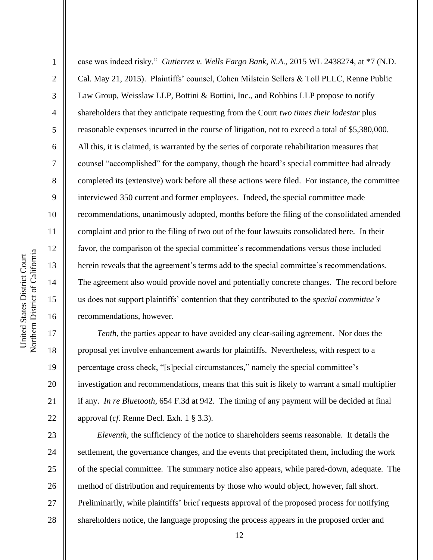2

3

4

5

6

7

8

9

10

11

12

13

14

15

16

17

18

19

20

21

22

23

24

25

26

27

28

case was indeed risky." *Gutierrez v. Wells Fargo Bank, N.A.*, 2015 WL 2438274, at \*7 (N.D. Cal. May 21, 2015). Plaintiffs' counsel, Cohen Milstein Sellers & Toll PLLC, Renne Public Law Group, Weisslaw LLP, Bottini & Bottini, Inc., and Robbins LLP propose to notify shareholders that they anticipate requesting from the Court *two times their lodestar* plus reasonable expenses incurred in the course of litigation, not to exceed a total of \$5,380,000. All this, it is claimed, is warranted by the series of corporate rehabilitation measures that counsel "accomplished" for the company, though the board's special committee had already completed its (extensive) work before all these actions were filed. For instance, the committee interviewed 350 current and former employees. Indeed, the special committee made recommendations, unanimously adopted, months before the filing of the consolidated amended complaint and prior to the filing of two out of the four lawsuits consolidated here. In their favor, the comparison of the special committee's recommendations versus those included herein reveals that the agreement's terms add to the special committee's recommendations. The agreement also would provide novel and potentially concrete changes. The record before us does not support plaintiffs' contention that they contributed to the *special committee's*  recommendations, however.

*Tenth*, the parties appear to have avoided any clear-sailing agreement. Nor does the proposal yet involve enhancement awards for plaintiffs. Nevertheless, with respect to a percentage cross check, "[s]pecial circumstances," namely the special committee's investigation and recommendations, means that this suit is likely to warrant a small multiplier if any. *In re Bluetooth*, 654 F.3d at 942. The timing of any payment will be decided at final approval (*cf*. Renne Decl. Exh. 1 § 3.3).

*Eleventh*, the sufficiency of the notice to shareholders seems reasonable. It details the settlement, the governance changes, and the events that precipitated them, including the work of the special committee. The summary notice also appears, while pared-down, adequate. The method of distribution and requirements by those who would object, however, fall short. Preliminarily, while plaintiffs' brief requests approval of the proposed process for notifying shareholders notice, the language proposing the process appears in the proposed order and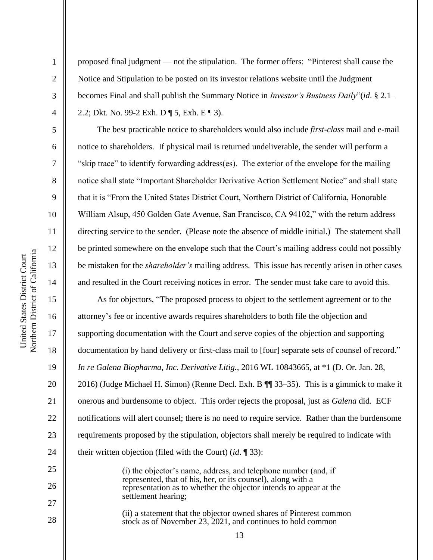2

3

4

5

6

7

8

9

10

11

12

13

14

15

16

17

18

19

20

21

22

23

24

25

26

27

28

proposed final judgment — not the stipulation. The former offers: "Pinterest shall cause the Notice and Stipulation to be posted on its investor relations website until the Judgment becomes Final and shall publish the Summary Notice in *Investor's Business Daily*"(*id*. § 2.1– 2.2; Dkt. No. 99-2 Exh. D ¶ 5, Exh. E ¶ 3).

The best practicable notice to shareholders would also include *first-class* mail and e-mail notice to shareholders. If physical mail is returned undeliverable, the sender will perform a "skip trace" to identify forwarding address(es). The exterior of the envelope for the mailing notice shall state "Important Shareholder Derivative Action Settlement Notice" and shall state that it is "From the United States District Court, Northern District of California, Honorable William Alsup, 450 Golden Gate Avenue, San Francisco, CA 94102," with the return address directing service to the sender. (Please note the absence of middle initial.) The statement shall be printed somewhere on the envelope such that the Court's mailing address could not possibly be mistaken for the *shareholder's* mailing address. This issue has recently arisen in other cases and resulted in the Court receiving notices in error. The sender must take care to avoid this.

As for objectors, "The proposed process to object to the settlement agreement or to the attorney's fee or incentive awards requires shareholders to both file the objection and supporting documentation with the Court and serve copies of the objection and supporting documentation by hand delivery or first-class mail to [four] separate sets of counsel of record." *In re Galena Biopharma, Inc. Derivative Litig.*, 2016 WL 10843665, at \*1 (D. Or. Jan. 28, 2016) (Judge Michael H. Simon) (Renne Decl. Exh. B ¶¶ 33–35). This is a gimmick to make it onerous and burdensome to object. This order rejects the proposal, just as *Galena* did. ECF notifications will alert counsel; there is no need to require service. Rather than the burdensome requirements proposed by the stipulation, objectors shall merely be required to indicate with their written objection (filed with the Court) (*id*. ¶ 33):

(i) the objector's name, address, and telephone number (and, if represented, that of his, her, or its counsel), along with a representation as to whether the objector intends to appear at the settlement hearing;

(ii) a statement that the objector owned shares of Pinterest common stock as of November 23, 2021, and continues to hold common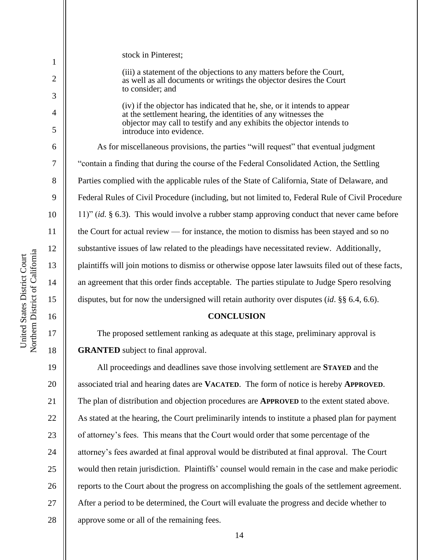| 1              | stock in Pinterest;                                                                                                                                             |  |
|----------------|-----------------------------------------------------------------------------------------------------------------------------------------------------------------|--|
| $\overline{2}$ | (iii) a statement of the objections to any matters before the Court,<br>as well as all documents or writings the objector desires the Court<br>to consider; and |  |
| 3<br>4         | (iv) if the objector has indicated that he, she, or it intends to appear<br>at the settlement hearing, the identities of any witnesses the                      |  |
| 5              | objector may call to testify and any exhibits the objector intends to<br>introduce into evidence.                                                               |  |
| 6              | As for miscellaneous provisions, the parties "will request" that eventual judgment                                                                              |  |
| 7              | "contain a finding that during the course of the Federal Consolidated Action, the Settling                                                                      |  |
| 8              | Parties complied with the applicable rules of the State of California, State of Delaware, and                                                                   |  |
| 9              | Federal Rules of Civil Procedure (including, but not limited to, Federal Rule of Civil Procedure                                                                |  |
| 10             | 11)" (id. $\S$ 6.3). This would involve a rubber stamp approving conduct that never came before                                                                 |  |
| 11             | the Court for actual review — for instance, the motion to dismiss has been stayed and so no                                                                     |  |
| 12             | substantive issues of law related to the pleadings have necessitated review. Additionally,                                                                      |  |
| 13             | plaintiffs will join motions to dismiss or otherwise oppose later lawsuits filed out of these facts,                                                            |  |
| 14             | an agreement that this order finds acceptable. The parties stipulate to Judge Spero resolving                                                                   |  |
| 15             | disputes, but for now the undersigned will retain authority over disputes (id. $\S$ § 6.4, 6.6).                                                                |  |
|                |                                                                                                                                                                 |  |
| 16             | <b>CONCLUSION</b>                                                                                                                                               |  |
| 17             | The proposed settlement ranking as adequate at this stage, preliminary approval is                                                                              |  |
| 18             | <b>GRANTED</b> subject to final approval.                                                                                                                       |  |
| 19             | All proceedings and deadlines save those involving settlement are <b>STAYED</b> and the                                                                         |  |
| 20             | associated trial and hearing dates are VACATED. The form of notice is hereby APPROVED.                                                                          |  |
| 21             | The plan of distribution and objection procedures are <b>APPROVED</b> to the extent stated above.                                                               |  |
| 22             | As stated at the hearing, the Court preliminarily intends to institute a phased plan for payment                                                                |  |
| 23             | of attorney's fees. This means that the Court would order that some percentage of the                                                                           |  |
| 24             | attorney's fees awarded at final approval would be distributed at final approval. The Court                                                                     |  |
| 25             | would then retain jurisdiction. Plaintiffs' counsel would remain in the case and make periodic                                                                  |  |
| 26             | reports to the Court about the progress on accomplishing the goals of the settlement agreement.                                                                 |  |
| 27             | After a period to be determined, the Court will evaluate the progress and decide whether to                                                                     |  |
| $28\,$         | approve some or all of the remaining fees.                                                                                                                      |  |